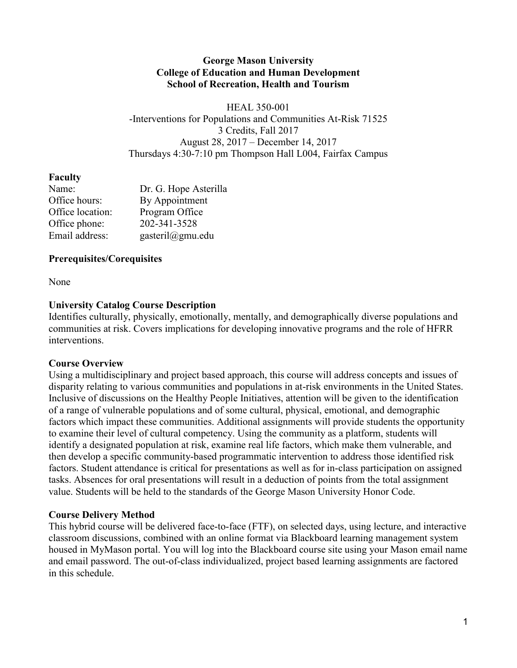### **George Mason University College of Education and Human Development School of Recreation, Health and Tourism**

HEAL 350-001 -Interventions for Populations and Communities At-Risk 71525 3 Credits, Fall 2017 August 28, 2017 – December 14, 2017 Thursdays 4:30-7:10 pm Thompson Hall L004, Fairfax Campus

### **Faculty**

| Name:            | Dr. G. Hope Asterilla |
|------------------|-----------------------|
| Office hours:    | By Appointment        |
| Office location: | Program Office        |
| Office phone:    | 202-341-3528          |
| Email address:   | gasteril@gmu.edu      |

### **Prerequisites/Corequisites**

None

# **University Catalog Course Description**

Identifies culturally, physically, emotionally, mentally, and demographically diverse populations and communities at risk. Covers implications for developing innovative programs and the role of HFRR interventions.

### **Course Overview**

Using a multidisciplinary and project based approach, this course will address concepts and issues of disparity relating to various communities and populations in at-risk environments in the United States. Inclusive of discussions on the Healthy People Initiatives, attention will be given to the identification of a range of vulnerable populations and of some cultural, physical, emotional, and demographic factors which impact these communities. Additional assignments will provide students the opportunity to examine their level of cultural competency. Using the community as a platform, students will identify a designated population at risk, examine real life factors, which make them vulnerable, and then develop a specific community-based programmatic intervention to address those identified risk factors. Student attendance is critical for presentations as well as for in-class participation on assigned tasks. Absences for oral presentations will result in a deduction of points from the total assignment value. Students will be held to the standards of the George Mason University Honor Code.

# **Course Delivery Method**

This hybrid course will be delivered face-to-face (FTF), on selected days, using lecture, and interactive classroom discussions, combined with an online format via Blackboard learning management system housed in MyMason portal. You will log into the Blackboard course site using your Mason email name and email password. The out-of-class individualized, project based learning assignments are factored in this schedule.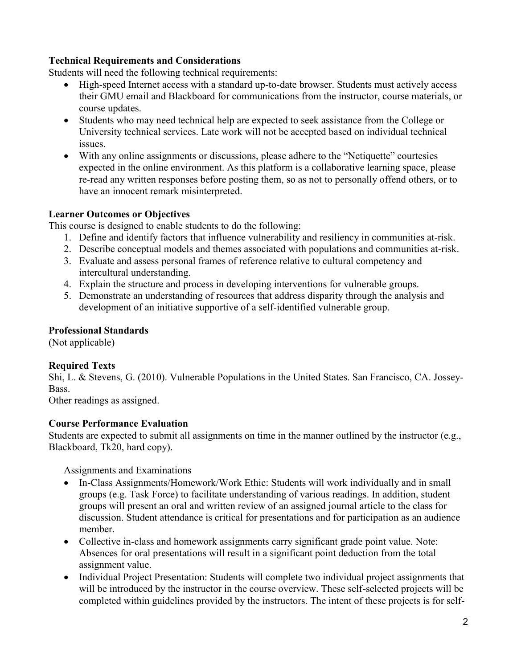# **Technical Requirements and Considerations**

Students will need the following technical requirements:

- High-speed Internet access with a standard up-to-date browser. Students must actively access their GMU email and Blackboard for communications from the instructor, course materials, or course updates.
- Students who may need technical help are expected to seek assistance from the College or University technical services. Late work will not be accepted based on individual technical issues.
- With any online assignments or discussions, please adhere to the "Netiquette" courtesies expected in the online environment. As this platform is a collaborative learning space, please re-read any written responses before posting them, so as not to personally offend others, or to have an innocent remark misinterpreted.

### **Learner Outcomes or Objectives**

This course is designed to enable students to do the following:

- 1. Define and identify factors that influence vulnerability and resiliency in communities at-risk.
- 2. Describe conceptual models and themes associated with populations and communities at-risk.
- 3. Evaluate and assess personal frames of reference relative to cultural competency and intercultural understanding.
- 4. Explain the structure and process in developing interventions for vulnerable groups.
- 5. Demonstrate an understanding of resources that address disparity through the analysis and development of an initiative supportive of a self-identified vulnerable group.

### **Professional Standards**

(Not applicable)

# **Required Texts**

Shi, L. & Stevens, G. (2010). Vulnerable Populations in the United States. San Francisco, CA. Jossey-Bass.

Other readings as assigned.

### **Course Performance Evaluation**

Students are expected to submit all assignments on time in the manner outlined by the instructor (e.g., Blackboard, Tk20, hard copy).

Assignments and Examinations

- In-Class Assignments/Homework/Work Ethic: Students will work individually and in small groups (e.g. Task Force) to facilitate understanding of various readings. In addition, student groups will present an oral and written review of an assigned journal article to the class for discussion. Student attendance is critical for presentations and for participation as an audience member.
- Collective in-class and homework assignments carry significant grade point value. Note: Absences for oral presentations will result in a significant point deduction from the total assignment value.
- Individual Project Presentation: Students will complete two individual project assignments that will be introduced by the instructor in the course overview. These self-selected projects will be completed within guidelines provided by the instructors. The intent of these projects is for self-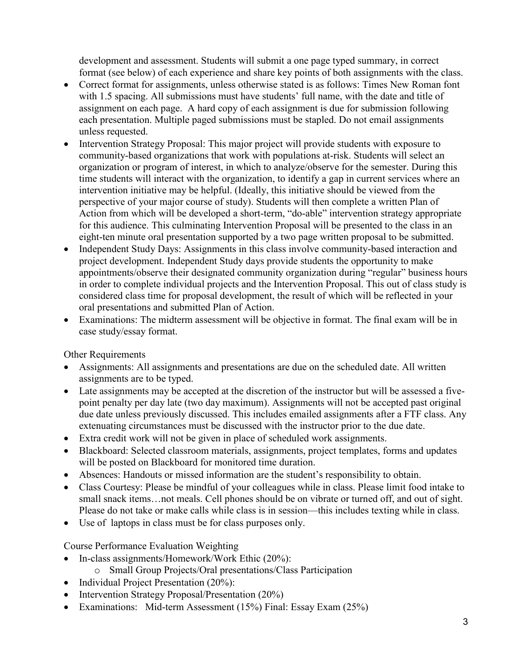development and assessment. Students will submit a one page typed summary, in correct format (see below) of each experience and share key points of both assignments with the class.

- Correct format for assignments, unless otherwise stated is as follows: Times New Roman font with 1.5 spacing. All submissions must have students' full name, with the date and title of assignment on each page. A hard copy of each assignment is due for submission following each presentation. Multiple paged submissions must be stapled. Do not email assignments unless requested.
- Intervention Strategy Proposal: This major project will provide students with exposure to community-based organizations that work with populations at-risk. Students will select an organization or program of interest, in which to analyze/observe for the semester. During this time students will interact with the organization, to identify a gap in current services where an intervention initiative may be helpful. (Ideally, this initiative should be viewed from the perspective of your major course of study). Students will then complete a written Plan of Action from which will be developed a short-term, "do-able" intervention strategy appropriate for this audience. This culminating Intervention Proposal will be presented to the class in an eight-ten minute oral presentation supported by a two page written proposal to be submitted.
- Independent Study Days: Assignments in this class involve community-based interaction and project development. Independent Study days provide students the opportunity to make appointments/observe their designated community organization during "regular" business hours in order to complete individual projects and the Intervention Proposal. This out of class study is considered class time for proposal development, the result of which will be reflected in your oral presentations and submitted Plan of Action.
- Examinations: The midterm assessment will be objective in format. The final exam will be in case study/essay format.

Other Requirements

- Assignments: All assignments and presentations are due on the scheduled date. All written assignments are to be typed.
- Late assignments may be accepted at the discretion of the instructor but will be assessed a fivepoint penalty per day late (two day maximum). Assignments will not be accepted past original due date unless previously discussed. This includes emailed assignments after a FTF class. Any extenuating circumstances must be discussed with the instructor prior to the due date.
- Extra credit work will not be given in place of scheduled work assignments.
- Blackboard: Selected classroom materials, assignments, project templates, forms and updates will be posted on Blackboard for monitored time duration.
- Absences: Handouts or missed information are the student's responsibility to obtain.
- Class Courtesy: Please be mindful of your colleagues while in class. Please limit food intake to small snack items…not meals. Cell phones should be on vibrate or turned off, and out of sight. Please do not take or make calls while class is in session—this includes texting while in class.
- Use of laptops in class must be for class purposes only.

Course Performance Evaluation Weighting

- In-class assignments/Homework/Work Ethic (20%):
	- o Small Group Projects/Oral presentations/Class Participation
- Individual Project Presentation (20%):
- Intervention Strategy Proposal/Presentation (20%)
- Examinations: Mid-term Assessment (15%) Final: Essay Exam (25%)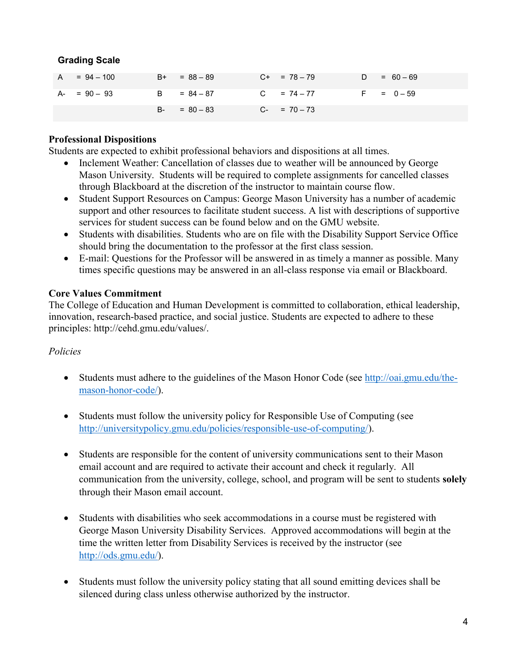### **Grading Scale**

| $A = 94 - 100$ | $B+ = 88 - 89$  | $C_{+}$ = 78 - 79 | $D = 60 - 69$ |
|----------------|-----------------|-------------------|---------------|
| $A - 90 - 93$  | $B = 84 - 87$   | $C = 74 - 77$     | $F = 0 - 59$  |
|                | $B - = 80 - 83$ | $C- = 70-73$      |               |

### **Professional Dispositions**

Students are expected to exhibit professional behaviors and dispositions at all times.

- Inclement Weather: Cancellation of classes due to weather will be announced by George Mason University. Students will be required to complete assignments for cancelled classes through Blackboard at the discretion of the instructor to maintain course flow.
- Student Support Resources on Campus: George Mason University has a number of academic support and other resources to facilitate student success. A list with descriptions of supportive services for student success can be found below and on the GMU website.
- Students with disabilities. Students who are on file with the Disability Support Service Office should bring the documentation to the professor at the first class session.
- E-mail: Questions for the Professor will be answered in as timely a manner as possible. Many times specific questions may be answered in an all-class response via email or Blackboard.

### **Core Values Commitment**

The College of Education and Human Development is committed to collaboration, ethical leadership, innovation, research-based practice, and social justice. Students are expected to adhere to these principles: http://cehd.gmu.edu/values/.

### *Policies*

- Students must adhere to the guidelines of the Mason Honor Code (see [http://oai.gmu.edu/the](http://oai.gmu.edu/the-mason-honor-code/)[mason-honor-code/\)](http://oai.gmu.edu/the-mason-honor-code/).
- Students must follow the university policy for Responsible Use of Computing (see [http://universitypolicy.gmu.edu/policies/responsible-use-of-computing/\)](http://universitypolicy.gmu.edu/policies/responsible-use-of-computing/).
- Students are responsible for the content of university communications sent to their Mason email account and are required to activate their account and check it regularly. All communication from the university, college, school, and program will be sent to students **solely** through their Mason email account.
- Students with disabilities who seek accommodations in a course must be registered with George Mason University Disability Services. Approved accommodations will begin at the time the written letter from Disability Services is received by the instructor (see [http://ods.gmu.edu/\)](http://ods.gmu.edu/).
- Students must follow the university policy stating that all sound emitting devices shall be silenced during class unless otherwise authorized by the instructor.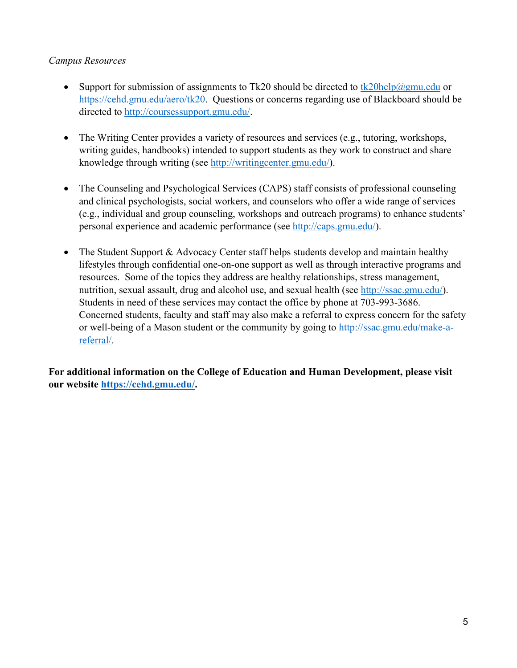### *Campus Resources*

- Support for submission of assignments to Tk20 should be directed to  $tk20$ help $@gmu$ .edu or [https://cehd.gmu.edu/aero/tk20.](https://cehd.gmu.edu/aero/tk20) Questions or concerns regarding use of Blackboard should be directed to [http://coursessupport.gmu.edu/.](http://coursessupport.gmu.edu/)
- The Writing Center provides a variety of resources and services (e.g., tutoring, workshops, writing guides, handbooks) intended to support students as they work to construct and share knowledge through writing (see [http://writingcenter.gmu.edu/\)](http://writingcenter.gmu.edu/).
- The Counseling and Psychological Services (CAPS) staff consists of professional counseling and clinical psychologists, social workers, and counselors who offer a wide range of services (e.g., individual and group counseling, workshops and outreach programs) to enhance students' personal experience and academic performance (see [http://caps.gmu.edu/\)](http://caps.gmu.edu/).
- The Student Support & Advocacy Center staff helps students develop and maintain healthy lifestyles through confidential one-on-one support as well as through interactive programs and resources. Some of the topics they address are healthy relationships, stress management, nutrition, sexual assault, drug and alcohol use, and sexual health (see [http://ssac.gmu.edu/\)](http://ssac.gmu.edu/). Students in need of these services may contact the office by phone at 703-993-3686. Concerned students, faculty and staff may also make a referral to express concern for the safety or well-being of a Mason student or the community by going to [http://ssac.gmu.edu/make-a](http://ssac.gmu.edu/make-a-referral/)[referral/.](http://ssac.gmu.edu/make-a-referral/)

**For additional information on the College of Education and Human Development, please visit our website [https://cehd.gmu.edu/.](https://cehd.gmu.edu/)**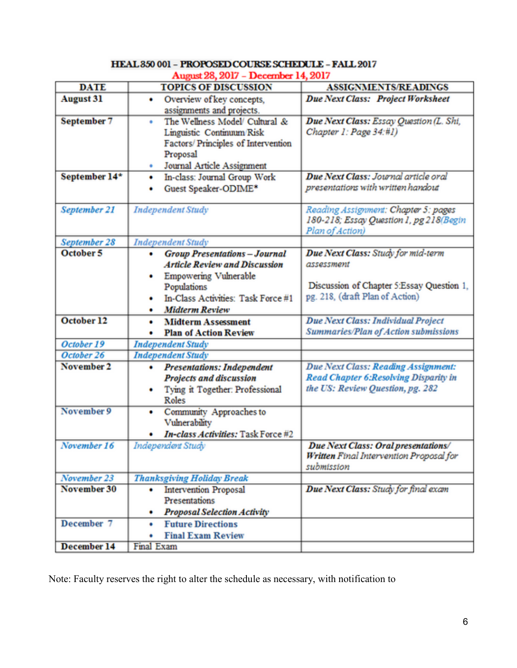| <b>DATE</b>                      | WE <i>EV, EVII - LI</i> COMINAL 17,<br><b>TOPICS OF DISCUSSION</b>                                                                                    | <b>ASSIGNMENTS/READINGS</b>                                                                                       |
|----------------------------------|-------------------------------------------------------------------------------------------------------------------------------------------------------|-------------------------------------------------------------------------------------------------------------------|
| <b>August 31</b>                 | Overview of key concepts,<br>٠<br>assignments and projects.                                                                                           | Due Next Class: Project Worksheet                                                                                 |
| September 7                      | The Wellness Model/ Cultural &<br>٠<br>Linguistic Continuum Risk<br>Factors/Principles of Intervention<br>Proposal<br>Journal Article Assignment<br>۰ | Due Next Class: Essay Question (L. Shi,<br>Chapter 1: Page 34:#1)                                                 |
| September 14*                    | In-class: Journal Group Work<br>٠<br>Guest Speaker-ODIME*<br>٠                                                                                        | Due Next Class: Journal article oral<br>presentations with written handout                                        |
| September 21                     | <b>Independent Study</b>                                                                                                                              | Reading Assignment: Chapter 5: pages<br>180-218; Essay Question 1, pg 218(Begin<br>Plan of Action)                |
| September 28                     | <b>Independent Study</b>                                                                                                                              |                                                                                                                   |
| October 5                        | <b>Group Presentations - Journal</b><br>۰<br><b>Article Review and Discussion</b><br>Empowering Vulnerable<br>٠<br>Populations                        | Due Next Class: Study for mid-term<br>assessment<br>Discussion of Chapter 5:Essay Question 1,                     |
|                                  | In-Class Activities: Task Force #1<br>٠<br><b>Midterm Review</b><br>٠                                                                                 | pg. 218, (draft Plan of Action)                                                                                   |
| October 12                       | <b>Midterm Assessment</b><br>٠<br><b>Plan of Action Review</b><br>٠                                                                                   | Due Next Class: Individual Project<br>Summaries/Plan of Action submissions                                        |
|                                  | <b>Independent Study</b>                                                                                                                              |                                                                                                                   |
| October 19                       |                                                                                                                                                       |                                                                                                                   |
| October 26                       | <b>Independent Study</b>                                                                                                                              |                                                                                                                   |
| November 2                       | <b>Presentations: Independent</b><br>٠<br>Projects and discussion<br>Tying it Together: Professional<br>٠<br>Roles                                    | Due Next Class: Reading Assignment:<br>Read Chapter 6: Resolving Disparity in<br>the US: Review Question, pg. 282 |
| November 9                       | Community Approaches to<br>۰<br>Vulnerability<br>In-class Activities: Task Force #2<br>٠                                                              |                                                                                                                   |
| November 16                      | Independent Study                                                                                                                                     | Due Next Class: Oral presentations/<br>Written Final Intervention Proposal for<br>submission                      |
| November 23                      | <b>Thanksgiving Holiday Break</b>                                                                                                                     |                                                                                                                   |
| November 30                      | <b>Intervention Proposal</b><br>٠<br>Presentations<br><b>Proposal Selection Activity</b>                                                              | Due Next Class: Study for final exam                                                                              |
| December 7<br><b>December 14</b> | <b>Future Directions</b><br>۰<br><b>Final Exam Review</b><br>۰<br>Final Exam                                                                          |                                                                                                                   |

#### HEAL 350 001 - PROPOSED COURSE SCHEDULE - FALL 2017 August 28, 2017 - December 14, 2017

Note: Faculty reserves the right to alter the schedule as necessary, with notification to